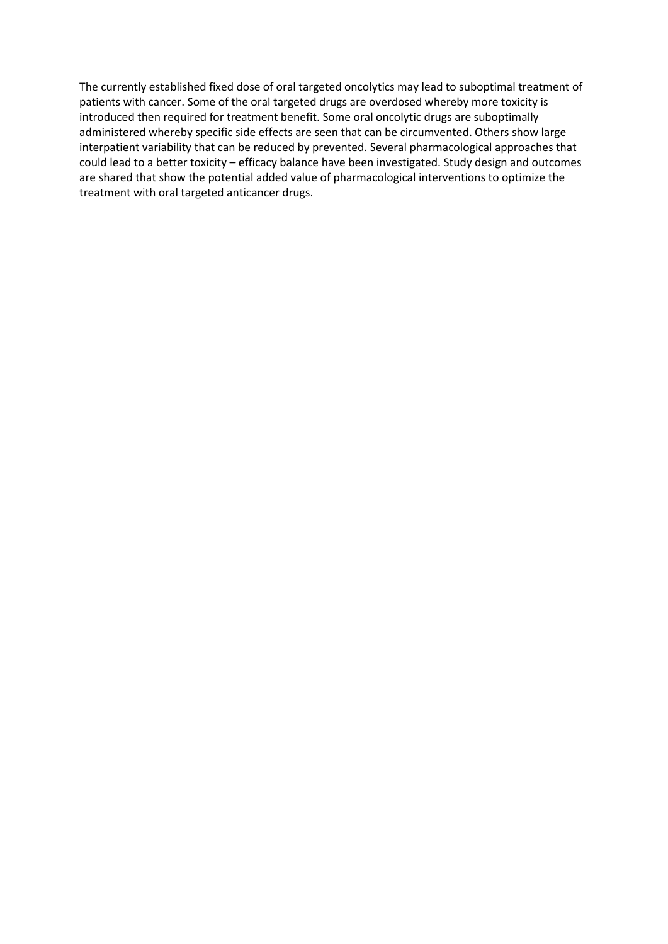The currently established fixed dose of oral targeted oncolytics may lead to suboptimal treatment of patients with cancer. Some of the oral targeted drugs are overdosed whereby more toxicity is introduced then required for treatment benefit. Some oral oncolytic drugs are suboptimally administered whereby specific side effects are seen that can be circumvented. Others show large interpatient variability that can be reduced by prevented. Several pharmacological approaches that could lead to a better toxicity – efficacy balance have been investigated. Study design and outcomes are shared that show the potential added value of pharmacological interventions to optimize the treatment with oral targeted anticancer drugs.